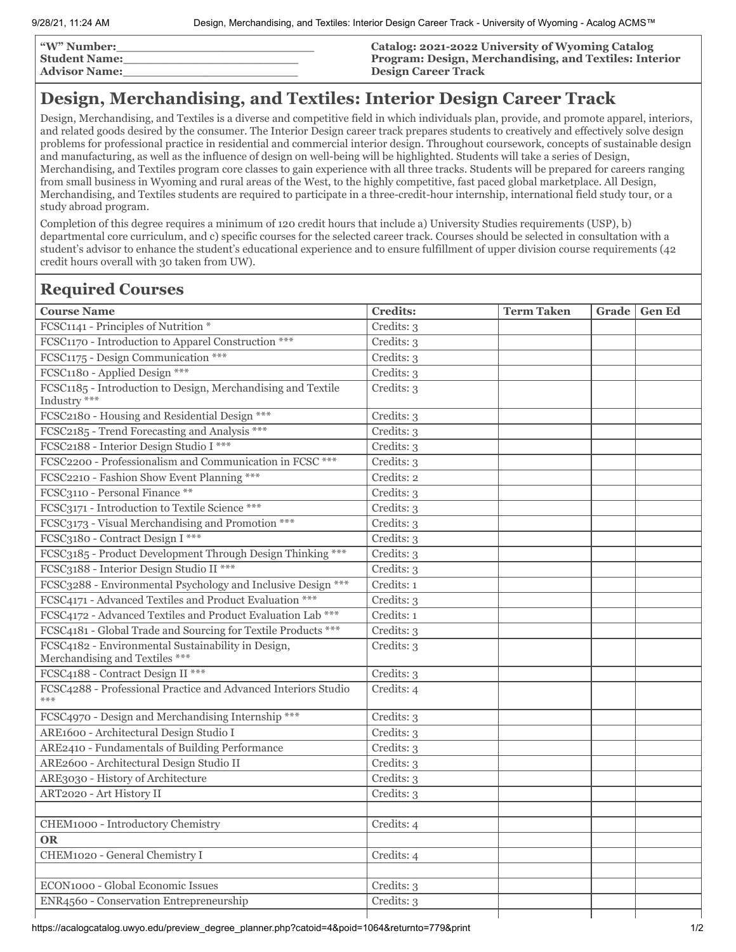| <b><i>W</i></b> " Number: | Catalog: 2021-2022 University of Wyoming Catalog       |
|---------------------------|--------------------------------------------------------|
| <b>Student Name:</b>      | Program: Design, Merchandising, and Textiles: Interior |
| <b>Advisor Name:</b>      | <b>Design Career Track</b>                             |

## **Design, Merchandising, and Textiles: Interior Design Career Track**

Design, Merchandising, and Textiles is a diverse and competitive field in which individuals plan, provide, and promote apparel, interiors, and related goods desired by the consumer. The Interior Design career track prepares students to creatively and effectively solve design problems for professional practice in residential and commercial interior design. Throughout coursework, concepts of sustainable design and manufacturing, as well as the influence of design on well-being will be highlighted. Students will take a series of Design, Merchandising, and Textiles program core classes to gain experience with all three tracks. Students will be prepared for careers ranging from small business in Wyoming and rural areas of the West, to the highly competitive, fast paced global marketplace. All Design, Merchandising, and Textiles students are required to participate in a three-credit-hour internship, international field study tour, or a study abroad program.

Completion of this degree requires a minimum of 120 credit hours that include a) University Studies requirements (USP), b) departmental core curriculum, and c) specific courses for the selected career track. Courses should be selected in consultation with a student's advisor to enhance the student's educational experience and to ensure fulfillment of upper division course requirements (42 credit hours overall with 30 taken from UW).

## **Required Courses**

| <b>Course Name</b>                                                                   | <b>Credits:</b> | <b>Term Taken</b> | Grade | <b>Gen Ed</b> |
|--------------------------------------------------------------------------------------|-----------------|-------------------|-------|---------------|
| FCSC1141 - Principles of Nutrition *                                                 | Credits: 3      |                   |       |               |
| FCSC1170 - Introduction to Apparel Construction ***                                  | Credits: 3      |                   |       |               |
| FCSC1175 - Design Communication ***                                                  | Credits: 3      |                   |       |               |
| FCSC1180 - Applied Design ***                                                        | Credits: 3      |                   |       |               |
| FCSC1185 - Introduction to Design, Merchandising and Textile<br>Industry ***         | Credits: 3      |                   |       |               |
| FCSC2180 - Housing and Residential Design ***                                        | Credits: 3      |                   |       |               |
| FCSC2185 - Trend Forecasting and Analysis ***                                        | Credits: 3      |                   |       |               |
| FCSC2188 - Interior Design Studio I ***                                              | Credits: 3      |                   |       |               |
| FCSC2200 - Professionalism and Communication in FCSC ***                             | Credits: 3      |                   |       |               |
| FCSC2210 - Fashion Show Event Planning ***                                           | Credits: 2      |                   |       |               |
| FCSC3110 - Personal Finance **                                                       | Credits: 3      |                   |       |               |
| FCSC3171 - Introduction to Textile Science ***                                       | Credits: 3      |                   |       |               |
| FCSC3173 - Visual Merchandising and Promotion ***                                    | Credits: 3      |                   |       |               |
| FCSC3180 - Contract Design I ***                                                     | Credits: 3      |                   |       |               |
| FCSC3185 - Product Development Through Design Thinking ***                           | Credits: 3      |                   |       |               |
| FCSC3188 - Interior Design Studio II ***                                             | Credits: 3      |                   |       |               |
| FCSC3288 - Environmental Psychology and Inclusive Design ***                         | Credits: 1      |                   |       |               |
| FCSC4171 - Advanced Textiles and Product Evaluation ***                              | Credits: 3      |                   |       |               |
| FCSC4172 - Advanced Textiles and Product Evaluation Lab ***                          | Credits: 1      |                   |       |               |
| FCSC4181 - Global Trade and Sourcing for Textile Products ***                        | Credits: 3      |                   |       |               |
| FCSC4182 - Environmental Sustainability in Design,<br>Merchandising and Textiles *** | Credits: 3      |                   |       |               |
| FCSC4188 - Contract Design II ***                                                    | Credits: 3      |                   |       |               |
| FCSC4288 - Professional Practice and Advanced Interiors Studio<br>$***$              | Credits: 4      |                   |       |               |
| FCSC4970 - Design and Merchandising Internship ***                                   | Credits: 3      |                   |       |               |
| ARE1600 - Architectural Design Studio I                                              | Credits: 3      |                   |       |               |
| ARE2410 - Fundamentals of Building Performance                                       | Credits: 3      |                   |       |               |
| ARE2600 - Architectural Design Studio II                                             | Credits: 3      |                   |       |               |
| ARE3030 - History of Architecture                                                    | Credits: 3      |                   |       |               |
| ART2020 - Art History II                                                             | Credits: 3      |                   |       |               |
|                                                                                      |                 |                   |       |               |
| CHEM1000 - Introductory Chemistry                                                    | Credits: 4      |                   |       |               |
| <b>OR</b>                                                                            |                 |                   |       |               |
| CHEM1020 - General Chemistry I                                                       | Credits: 4      |                   |       |               |
|                                                                                      |                 |                   |       |               |
| ECON1000 - Global Economic Issues                                                    | Credits: 3      |                   |       |               |
| ENR4560 - Conservation Entrepreneurship                                              | Credits: 3      |                   |       |               |
|                                                                                      |                 |                   |       |               |